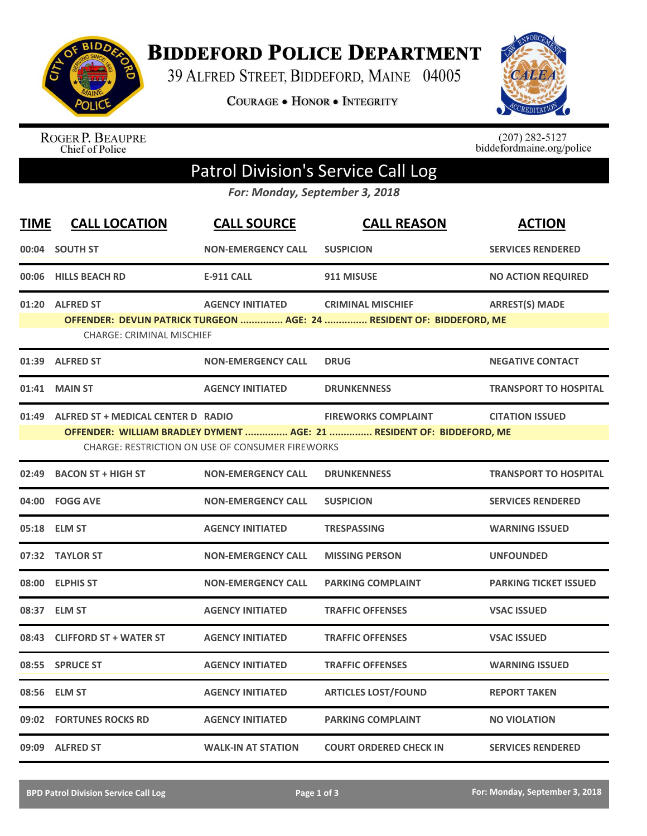

**BIDDEFORD POLICE DEPARTMENT** 

39 ALFRED STREET, BIDDEFORD, MAINE 04005

**COURAGE . HONOR . INTEGRITY** 



ROGER P. BEAUPRE<br>Chief of Police

 $(207)$  282-5127<br>biddefordmaine.org/police

## Patrol Division's Service Call Log

*For: Monday, September 3, 2018*

| <b>TIME</b> | <b>CALL LOCATION</b>                     | <b>CALL SOURCE</b>                                      | <b>CALL REASON</b>                                                    | <b>ACTION</b>                |
|-------------|------------------------------------------|---------------------------------------------------------|-----------------------------------------------------------------------|------------------------------|
|             | 00:04 SOUTH ST                           | <b>NON-EMERGENCY CALL</b>                               | <b>SUSPICION</b>                                                      | <b>SERVICES RENDERED</b>     |
|             | 00:06 HILLS BEACH RD                     | <b>E-911 CALL</b>                                       | 911 MISUSE                                                            | <b>NO ACTION REQUIRED</b>    |
|             | 01:20 ALFRED ST                          | <b>AGENCY INITIATED</b>                                 | <b>CRIMINAL MISCHIEF</b>                                              | <b>ARREST(S) MADE</b>        |
|             | <b>CHARGE: CRIMINAL MISCHIEF</b>         |                                                         | OFFENDER: DEVLIN PATRICK TURGEON  AGE: 24  RESIDENT OF: BIDDEFORD, ME |                              |
|             | 01:39 ALFRED ST                          | <b>NON-EMERGENCY CALL</b>                               | <b>DRUG</b>                                                           | <b>NEGATIVE CONTACT</b>      |
|             | 01:41 MAIN ST                            | <b>AGENCY INITIATED</b>                                 | <b>DRUNKENNESS</b>                                                    | <b>TRANSPORT TO HOSPITAL</b> |
|             | 01:49 ALFRED ST + MEDICAL CENTER D RADIO |                                                         | <b>FIREWORKS COMPLAINT</b>                                            | <b>CITATION ISSUED</b>       |
|             |                                          | <b>CHARGE: RESTRICTION ON USE OF CONSUMER FIREWORKS</b> | OFFENDER: WILLIAM BRADLEY DYMENT  AGE: 21  RESIDENT OF: BIDDEFORD, ME |                              |
| 02:49       | <b>BACON ST + HIGH ST</b>                | <b>NON-EMERGENCY CALL</b>                               | <b>DRUNKENNESS</b>                                                    | <b>TRANSPORT TO HOSPITAL</b> |
|             | 04:00 FOGG AVE                           | <b>NON-EMERGENCY CALL</b>                               | <b>SUSPICION</b>                                                      | <b>SERVICES RENDERED</b>     |
|             | 05:18 ELM ST                             | <b>AGENCY INITIATED</b>                                 | <b>TRESPASSING</b>                                                    | <b>WARNING ISSUED</b>        |
|             | 07:32 TAYLOR ST                          | <b>NON-EMERGENCY CALL</b>                               | <b>MISSING PERSON</b>                                                 | <b>UNFOUNDED</b>             |
|             | 08:00 ELPHIS ST                          | <b>NON-EMERGENCY CALL</b>                               | <b>PARKING COMPLAINT</b>                                              | <b>PARKING TICKET ISSUED</b> |
|             | 08:37 ELM ST                             | <b>AGENCY INITIATED</b>                                 | <b>TRAFFIC OFFENSES</b>                                               | <b>VSAC ISSUED</b>           |
| 08:43       | <b>CLIFFORD ST + WATER ST</b>            | <b>AGENCY INITIATED</b>                                 | <b>TRAFFIC OFFENSES</b>                                               | <b>VSAC ISSUED</b>           |
| 08:55       | <b>SPRUCE ST</b>                         | <b>AGENCY INITIATED</b>                                 | <b>TRAFFIC OFFENSES</b>                                               | <b>WARNING ISSUED</b>        |
|             | 08:56 ELM ST                             | <b>AGENCY INITIATED</b>                                 | <b>ARTICLES LOST/FOUND</b>                                            | <b>REPORT TAKEN</b>          |
|             | 09:02 FORTUNES ROCKS RD                  | <b>AGENCY INITIATED</b>                                 | <b>PARKING COMPLAINT</b>                                              | <b>NO VIOLATION</b>          |
|             | 09:09 ALFRED ST                          | <b>WALK-IN AT STATION</b>                               | <b>COURT ORDERED CHECK IN</b>                                         | <b>SERVICES RENDERED</b>     |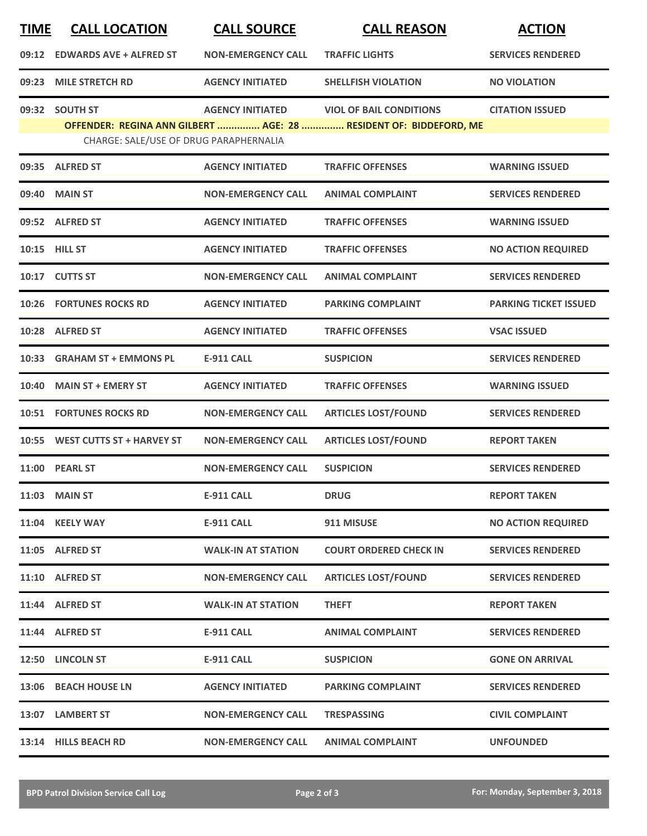| <u>TIME</u> | <b>CALL LOCATION</b>                   | <b>CALL SOURCE</b>        | <b>CALL REASON</b>                                                | <b>ACTION</b>                |
|-------------|----------------------------------------|---------------------------|-------------------------------------------------------------------|------------------------------|
|             | 09:12 EDWARDS AVE + ALFRED ST          | <b>NON-EMERGENCY CALL</b> | <b>TRAFFIC LIGHTS</b>                                             | <b>SERVICES RENDERED</b>     |
|             | 09:23 MILE STRETCH RD                  | <b>AGENCY INITIATED</b>   | <b>SHELLFISH VIOLATION</b>                                        | <b>NO VIOLATION</b>          |
|             | 09:32 SOUTH ST                         | <b>AGENCY INITIATED</b>   | <b>VIOL OF BAIL CONDITIONS</b>                                    | <b>CITATION ISSUED</b>       |
|             | CHARGE: SALE/USE OF DRUG PARAPHERNALIA |                           | OFFENDER: REGINA ANN GILBERT  AGE: 28  RESIDENT OF: BIDDEFORD, ME |                              |
|             | 09:35 ALFRED ST                        | <b>AGENCY INITIATED</b>   | <b>TRAFFIC OFFENSES</b>                                           | <b>WARNING ISSUED</b>        |
|             | 09:40 MAIN ST                          | <b>NON-EMERGENCY CALL</b> | <b>ANIMAL COMPLAINT</b>                                           | <b>SERVICES RENDERED</b>     |
|             | 09:52 ALFRED ST                        | <b>AGENCY INITIATED</b>   | <b>TRAFFIC OFFENSES</b>                                           | <b>WARNING ISSUED</b>        |
|             | 10:15 HILL ST                          | <b>AGENCY INITIATED</b>   | <b>TRAFFIC OFFENSES</b>                                           | <b>NO ACTION REQUIRED</b>    |
|             | 10:17 CUTTS ST                         | <b>NON-EMERGENCY CALL</b> | <b>ANIMAL COMPLAINT</b>                                           | <b>SERVICES RENDERED</b>     |
|             | <b>10:26 FORTUNES ROCKS RD</b>         | <b>AGENCY INITIATED</b>   | <b>PARKING COMPLAINT</b>                                          | <b>PARKING TICKET ISSUED</b> |
|             | 10:28 ALFRED ST                        | <b>AGENCY INITIATED</b>   | <b>TRAFFIC OFFENSES</b>                                           | <b>VSAC ISSUED</b>           |
| 10:33       | <b>GRAHAM ST + EMMONS PL</b>           | <b>E-911 CALL</b>         | <b>SUSPICION</b>                                                  | <b>SERVICES RENDERED</b>     |
| 10:40       | <b>MAIN ST + EMERY ST</b>              | <b>AGENCY INITIATED</b>   | <b>TRAFFIC OFFENSES</b>                                           | <b>WARNING ISSUED</b>        |
|             | <b>10:51 FORTUNES ROCKS RD</b>         | <b>NON-EMERGENCY CALL</b> | <b>ARTICLES LOST/FOUND</b>                                        | <b>SERVICES RENDERED</b>     |
| 10:55       | <b>WEST CUTTS ST + HARVEY ST</b>       | <b>NON-EMERGENCY CALL</b> | <b>ARTICLES LOST/FOUND</b>                                        | <b>REPORT TAKEN</b>          |
|             | 11:00 PEARL ST                         | <b>NON-EMERGENCY CALL</b> | <b>SUSPICION</b>                                                  | <b>SERVICES RENDERED</b>     |
|             | 11:03 MAIN ST                          | <b>E-911 CALL</b>         | <b>DRUG</b>                                                       | <b>REPORT TAKEN</b>          |
|             | 11:04 KEELY WAY                        | <b>E-911 CALL</b>         | 911 MISUSE                                                        | <b>NO ACTION REQUIRED</b>    |
|             | 11:05 ALFRED ST                        | <b>WALK-IN AT STATION</b> | <b>COURT ORDERED CHECK IN</b>                                     | <b>SERVICES RENDERED</b>     |
|             | 11:10 ALFRED ST                        | <b>NON-EMERGENCY CALL</b> | <b>ARTICLES LOST/FOUND</b>                                        | <b>SERVICES RENDERED</b>     |
|             | 11:44 ALFRED ST                        | <b>WALK-IN AT STATION</b> | <b>THEFT</b>                                                      | <b>REPORT TAKEN</b>          |
|             | 11:44 ALFRED ST                        | E-911 CALL                | <b>ANIMAL COMPLAINT</b>                                           | <b>SERVICES RENDERED</b>     |
|             | 12:50 LINCOLN ST                       | <b>E-911 CALL</b>         | <b>SUSPICION</b>                                                  | <b>GONE ON ARRIVAL</b>       |
|             | 13:06 BEACH HOUSE LN                   | <b>AGENCY INITIATED</b>   | <b>PARKING COMPLAINT</b>                                          | <b>SERVICES RENDERED</b>     |
|             | 13:07 LAMBERT ST                       | <b>NON-EMERGENCY CALL</b> | <b>TRESPASSING</b>                                                | <b>CIVIL COMPLAINT</b>       |
|             | 13:14 HILLS BEACH RD                   | <b>NON-EMERGENCY CALL</b> | <b>ANIMAL COMPLAINT</b>                                           | <b>UNFOUNDED</b>             |